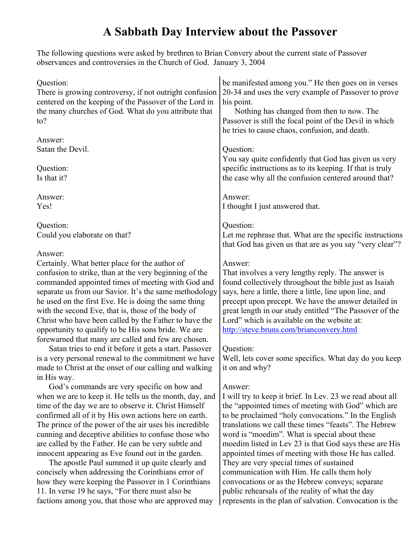# **A Sabbath Day Interview about the Passover**

The following questions were asked by brethren to Brian Convery about the current state of Passover observances and controversies in the Church of God. January 3, 2004

| Question:<br>There is growing controversy, if not outright confusion<br>centered on the keeping of the Passover of the Lord in<br>the many churches of God. What do you attribute that<br>to?                                                                                                                                                                                                                                                                                                                                                                                                                                                                                                                                                    | be manifested among you." He then goes on in verses<br>20-34 and uses the very example of Passover to prove<br>his point.<br>Nothing has changed from then to now. The<br>Passover is still the focal point of the Devil in which<br>he tries to cause chaos, confusion, and death.                                                                                                                                                                                                                                                                                                                                                                                         |
|--------------------------------------------------------------------------------------------------------------------------------------------------------------------------------------------------------------------------------------------------------------------------------------------------------------------------------------------------------------------------------------------------------------------------------------------------------------------------------------------------------------------------------------------------------------------------------------------------------------------------------------------------------------------------------------------------------------------------------------------------|-----------------------------------------------------------------------------------------------------------------------------------------------------------------------------------------------------------------------------------------------------------------------------------------------------------------------------------------------------------------------------------------------------------------------------------------------------------------------------------------------------------------------------------------------------------------------------------------------------------------------------------------------------------------------------|
| Answer:                                                                                                                                                                                                                                                                                                                                                                                                                                                                                                                                                                                                                                                                                                                                          | Question:                                                                                                                                                                                                                                                                                                                                                                                                                                                                                                                                                                                                                                                                   |
| Satan the Devil.                                                                                                                                                                                                                                                                                                                                                                                                                                                                                                                                                                                                                                                                                                                                 | You say quite confidently that God has given us very                                                                                                                                                                                                                                                                                                                                                                                                                                                                                                                                                                                                                        |
| Question:                                                                                                                                                                                                                                                                                                                                                                                                                                                                                                                                                                                                                                                                                                                                        | specific instructions as to its keeping. If that is truly                                                                                                                                                                                                                                                                                                                                                                                                                                                                                                                                                                                                                   |
| Is that it?                                                                                                                                                                                                                                                                                                                                                                                                                                                                                                                                                                                                                                                                                                                                      | the case why all the confusion centered around that?                                                                                                                                                                                                                                                                                                                                                                                                                                                                                                                                                                                                                        |
| Answer:                                                                                                                                                                                                                                                                                                                                                                                                                                                                                                                                                                                                                                                                                                                                          | Answer:                                                                                                                                                                                                                                                                                                                                                                                                                                                                                                                                                                                                                                                                     |
| Yes!                                                                                                                                                                                                                                                                                                                                                                                                                                                                                                                                                                                                                                                                                                                                             | I thought I just answered that.                                                                                                                                                                                                                                                                                                                                                                                                                                                                                                                                                                                                                                             |
| Question:                                                                                                                                                                                                                                                                                                                                                                                                                                                                                                                                                                                                                                                                                                                                        | Question:                                                                                                                                                                                                                                                                                                                                                                                                                                                                                                                                                                                                                                                                   |
| Could you elaborate on that?                                                                                                                                                                                                                                                                                                                                                                                                                                                                                                                                                                                                                                                                                                                     | Let me rephrase that. What are the specific instructions                                                                                                                                                                                                                                                                                                                                                                                                                                                                                                                                                                                                                    |
| Answer:                                                                                                                                                                                                                                                                                                                                                                                                                                                                                                                                                                                                                                                                                                                                          | that God has given us that are as you say "very clear"?                                                                                                                                                                                                                                                                                                                                                                                                                                                                                                                                                                                                                     |
| Certainly. What better place for the author of                                                                                                                                                                                                                                                                                                                                                                                                                                                                                                                                                                                                                                                                                                   | Answer:                                                                                                                                                                                                                                                                                                                                                                                                                                                                                                                                                                                                                                                                     |
| confusion to strike, than at the very beginning of the                                                                                                                                                                                                                                                                                                                                                                                                                                                                                                                                                                                                                                                                                           | That involves a very lengthy reply. The answer is                                                                                                                                                                                                                                                                                                                                                                                                                                                                                                                                                                                                                           |
| commanded appointed times of meeting with God and                                                                                                                                                                                                                                                                                                                                                                                                                                                                                                                                                                                                                                                                                                | found collectively throughout the bible just as Isaiah                                                                                                                                                                                                                                                                                                                                                                                                                                                                                                                                                                                                                      |
| separate us from our Savior. It's the same methodology                                                                                                                                                                                                                                                                                                                                                                                                                                                                                                                                                                                                                                                                                           | says, here a little, there a little, line upon line, and                                                                                                                                                                                                                                                                                                                                                                                                                                                                                                                                                                                                                    |
| he used on the first Eve. He is doing the same thing                                                                                                                                                                                                                                                                                                                                                                                                                                                                                                                                                                                                                                                                                             | precept upon precept. We have the answer detailed in                                                                                                                                                                                                                                                                                                                                                                                                                                                                                                                                                                                                                        |
| with the second Eve, that is, those of the body of                                                                                                                                                                                                                                                                                                                                                                                                                                                                                                                                                                                                                                                                                               | great length in our study entitled "The Passover of the                                                                                                                                                                                                                                                                                                                                                                                                                                                                                                                                                                                                                     |
| Christ who have been called by the Father to have the                                                                                                                                                                                                                                                                                                                                                                                                                                                                                                                                                                                                                                                                                            | Lord" which is available on the website at:                                                                                                                                                                                                                                                                                                                                                                                                                                                                                                                                                                                                                                 |
| opportunity to qualify to be His sons bride. We are                                                                                                                                                                                                                                                                                                                                                                                                                                                                                                                                                                                                                                                                                              | http://steve.bruns.com/brianconvery.html                                                                                                                                                                                                                                                                                                                                                                                                                                                                                                                                                                                                                                    |
| forewarned that many are called and few are chosen.<br>Satan tries to end it before it gets a start. Passover<br>is a very personal renewal to the commitment we have<br>made to Christ at the onset of our calling and walking                                                                                                                                                                                                                                                                                                                                                                                                                                                                                                                  | Question:<br>Well, lets cover some specifics. What day do you keep<br>it on and why?                                                                                                                                                                                                                                                                                                                                                                                                                                                                                                                                                                                        |
| in His way.<br>God's commands are very specific on how and<br>when we are to keep it. He tells us the month, day, and<br>time of the day we are to observe it. Christ Himself<br>confirmed all of it by His own actions here on earth.<br>The prince of the power of the air uses his incredible<br>cunning and deceptive abilities to confuse those who<br>are called by the Father. He can be very subtle and<br>innocent appearing as Eve found out in the garden.<br>The apostle Paul summed it up quite clearly and<br>concisely when addressing the Corinthians error of<br>how they were keeping the Passover in 1 Corinthians<br>11. In verse 19 he says, "For there must also be<br>factions among you, that those who are approved may | Answer:<br>I will try to keep it brief. In Lev. 23 we read about all<br>the "appointed times of meeting with God" which are<br>to be proclaimed "holy convocations." In the English<br>translations we call these times "feasts". The Hebrew<br>word is "moedim". What is special about these<br>moedim listed in Lev 23 is that God says these are His<br>appointed times of meeting with those He has called.<br>They are very special times of sustained<br>communication with Him. He calls them holy<br>convocations or as the Hebrew conveys; separate<br>public rehearsals of the reality of what the day<br>represents in the plan of salvation. Convocation is the |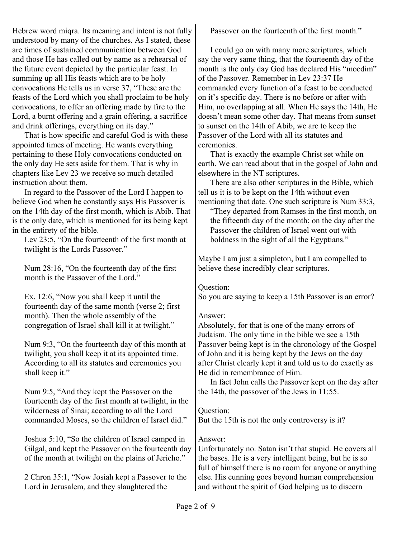Hebrew word miqra. Its meaning and intent is not fully understood by many of the churches. As I stated, these are times of sustained communication between God and those He has called out by name as a rehearsal of the future event depicted by the particular feast. In summing up all His feasts which are to be holy convocations He tells us in verse 37, "These are the feasts of the Lord which you shall proclaim to be holy convocations, to offer an offering made by fire to the Lord, a burnt offering and a grain offering, a sacrifice and drink offerings, everything on its day."

That is how specific and careful God is with these appointed times of meeting. He wants everything pertaining to these Holy convocations conducted on the only day He sets aside for them. That is why in chapters like Lev 23 we receive so much detailed instruction about them.

In regard to the Passover of the Lord I happen to believe God when he constantly says His Passover is on the 14th day of the first month, which is Abib. That is the only date, which is mentioned for its being kept in the entirety of the bible.

Lev 23:5, "On the fourteenth of the first month at twilight is the Lords Passover."

Num 28:16, "On the fourteenth day of the first month is the Passover of the Lord."

Ex. 12:6, "Now you shall keep it until the fourteenth day of the same month (verse 2; first month). Then the whole assembly of the congregation of Israel shall kill it at twilight."

Num 9:3, "On the fourteenth day of this month at twilight, you shall keep it at its appointed time. According to all its statutes and ceremonies you shall keep it."

Num 9:5, "And they kept the Passover on the fourteenth day of the first month at twilight, in the wilderness of Sinai; according to all the Lord commanded Moses, so the children of Israel did."

Joshua 5:10, "So the children of Israel camped in Gilgal, and kept the Passover on the fourteenth day of the month at twilight on the plains of Jericho."

2 Chron 35:1, "Now Josiah kept a Passover to the Lord in Jerusalem, and they slaughtered the

Passover on the fourteenth of the first month."

I could go on with many more scriptures, which say the very same thing, that the fourteenth day of the month is the only day God has declared His "moedim" of the Passover. Remember in Lev 23:37 He commanded every function of a feast to be conducted on it's specific day. There is no before or after with Him, no overlapping at all. When He says the 14th, He doesn't mean some other day. That means from sunset to sunset on the 14th of Abib, we are to keep the Passover of the Lord with all its statutes and ceremonies.

That is exactly the example Christ set while on earth. We can read about that in the gospel of John and elsewhere in the NT scriptures.

There are also other scriptures in the Bible, which tell us it is to be kept on the 14th without even mentioning that date. One such scripture is Num 33:3,

"They departed from Ramses in the first month, on the fifteenth day of the month; on the day after the Passover the children of Israel went out with boldness in the sight of all the Egyptians."

Maybe I am just a simpleton, but I am compelled to believe these incredibly clear scriptures.

Question:

So you are saying to keep a 15th Passover is an error?

# Answer:

Absolutely, for that is one of the many errors of Judaism. The only time in the bible we see a 15th Passover being kept is in the chronology of the Gospel of John and it is being kept by the Jews on the day after Christ clearly kept it and told us to do exactly as He did in remembrance of Him.

In fact John calls the Passover kept on the day after the 14th, the passover of the Jews in 11:55.

Question:

But the 15th is not the only controversy is it?

# Answer:

Unfortunately no. Satan isn't that stupid. He covers all the bases. He is a very intelligent being, but he is so full of himself there is no room for anyone or anything else. His cunning goes beyond human comprehension and without the spirit of God helping us to discern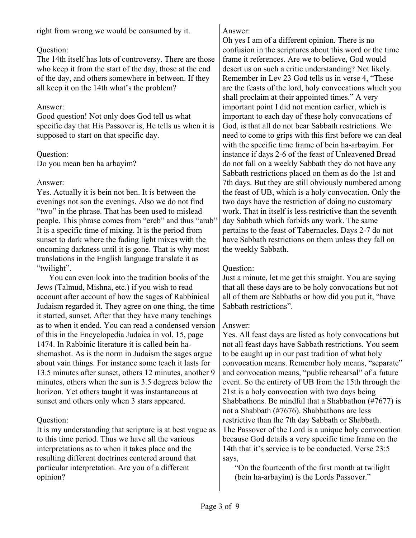right from wrong we would be consumed by it.

## Question:

The 14th itself has lots of controversy. There are those who keep it from the start of the day, those at the end of the day, and others somewhere in between. If they all keep it on the 14th what's the problem?

## Answer:

Good question! Not only does God tell us what specific day that His Passover is, He tells us when it is supposed to start on that specific day.

## Question:

Do you mean ben ha arbayim?

## Answer:

Yes. Actually it is bein not ben. It is between the evenings not son the evenings. Also we do not find "two" in the phrase. That has been used to mislead people. This phrase comes from "ereb" and thus "arab" It is a specific time of mixing. It is the period from sunset to dark where the fading light mixes with the oncoming darkness until it is gone. That is why most translations in the English language translate it as "twilight".

You can even look into the tradition books of the Jews (Talmud, Mishna, etc.) if you wish to read account after account of how the sages of Rabbinical Judaism regarded it. They agree on one thing, the time it started, sunset. After that they have many teachings as to when it ended. You can read a condensed version of this in the Encyclopedia Judaica in vol. 15, page 1474. In Rabbinic literature it is called bein hashemashot. As is the norm in Judaism the sages argue about vain things. For instance some teach it lasts for 13.5 minutes after sunset, others 12 minutes, another 9 minutes, others when the sun is 3.5 degrees below the horizon. Yet others taught it was instantaneous at sunset and others only when 3 stars appeared.

## Question:

It is my understanding that scripture is at best vague as to this time period. Thus we have all the various interpretations as to when it takes place and the resulting different doctrines centered around that particular interpretation. Are you of a different opinion?

## Answer:

Oh yes I am of a different opinion. There is no confusion in the scriptures about this word or the time frame it references. Are we to believe, God would desert us on such a critic understanding? Not likely. Remember in Lev 23 God tells us in verse 4, "These are the feasts of the lord, holy convocations which you shall proclaim at their appointed times." A very important point I did not mention earlier, which is important to each day of these holy convocations of God, is that all do not bear Sabbath restrictions. We need to come to grips with this first before we can deal with the specific time frame of bein ha-arbayim. For instance if days 2-6 of the feast of Unleavened Bread do not fall on a weekly Sabbath they do not have any Sabbath restrictions placed on them as do the 1st and 7th days. But they are still obviously numbered among the feast of UB, which is a holy convocation. Only the two days have the restriction of doing no customary work. That in itself is less restrictive than the seventh day Sabbath which forbids any work. The same pertains to the feast of Tabernacles. Days 2-7 do not have Sabbath restrictions on them unless they fall on the weekly Sabbath.

## Question:

Just a minute, let me get this straight. You are saying that all these days are to be holy convocations but not all of them are Sabbaths or how did you put it, "have Sabbath restrictions".

## Answer:

Yes. All feast days are listed as holy convocations but not all feast days have Sabbath restrictions. You seem to be caught up in our past tradition of what holy convocation means. Remember holy means, "separate" and convocation means, "public rehearsal" of a future event. So the entirety of UB from the 15th through the 21st is a holy convocation with two days being Shabbathons. Be mindful that a Shabbathon (#7677) is not a Shabbath (#7676). Shabbathons are less restrictive than the 7th day Sabbath or Shabbath. The Passover of the Lord is a unique holy convocation because God details a very specific time frame on the 14th that it's service is to be conducted. Verse 23:5 says,

"On the fourteenth of the first month at twilight (bein ha-arbayim) is the Lords Passover."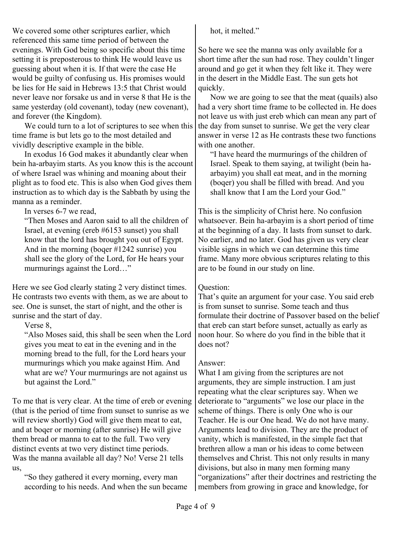We covered some other scriptures earlier, which referenced this same time period of between the evenings. With God being so specific about this time setting it is preposterous to think He would leave us guessing about when it is. If that were the case He would be guilty of confusing us. His promises would be lies for He said in Hebrews 13:5 that Christ would never leave nor forsake us and in verse 8 that He is the same yesterday (old covenant), today (new covenant), and forever (the Kingdom).

We could turn to a lot of scriptures to see when this time frame is but lets go to the most detailed and vividly descriptive example in the bible.

In exodus 16 God makes it abundantly clear when bein ha-arbayim starts. As you know this is the account of where Israel was whining and moaning about their plight as to food etc. This is also when God gives them instruction as to which day is the Sabbath by using the manna as a reminder.

In verses 6-7 we read,

"Then Moses and Aaron said to all the children of Israel, at evening (ereb #6153 sunset) you shall know that the lord has brought you out of Egypt. And in the morning (boqer #1242 sunrise) you shall see the glory of the Lord, for He hears your murmurings against the Lord…"

Here we see God clearly stating 2 very distinct times. He contrasts two events with them, as we are about to see. One is sunset, the start of night, and the other is sunrise and the start of day.

Verse 8,

"Also Moses said, this shall be seen when the Lord gives you meat to eat in the evening and in the morning bread to the full, for the Lord hears your murmurings which you make against Him. And what are we? Your murmurings are not against us but against the Lord."

To me that is very clear. At the time of ereb or evening (that is the period of time from sunset to sunrise as we will review shortly) God will give them meat to eat, and at boqer or morning (after sunrise) He will give them bread or manna to eat to the full. Two very distinct events at two very distinct time periods. Was the manna available all day? No! Verse 21 tells us,

"So they gathered it every morning, every man according to his needs. And when the sun became hot, it melted."

So here we see the manna was only available for a short time after the sun had rose. They couldn't linger around and go get it when they felt like it. They were in the desert in the Middle East. The sun gets hot quickly.

Now we are going to see that the meat (quails) also had a very short time frame to be collected in. He does not leave us with just ereb which can mean any part of the day from sunset to sunrise. We get the very clear answer in verse 12 as He contrasts these two functions with one another

"I have heard the murmurings of the children of Israel. Speak to them saying, at twilight (bein haarbayim) you shall eat meat, and in the morning (boqer) you shall be filled with bread. And you shall know that I am the Lord your God."

This is the simplicity of Christ here. No confusion whatsoever. Bein ha-arbayim is a short period of time at the beginning of a day. It lasts from sunset to dark. No earlier, and no later. God has given us very clear visible signs in which we can determine this time frame. Many more obvious scriptures relating to this are to be found in our study on line.

#### Question:

That's quite an argument for your case. You said ereb is from sunset to sunrise. Some teach and thus formulate their doctrine of Passover based on the belief that ereb can start before sunset, actually as early as noon hour. So where do you find in the bible that it does not?

## Answer:

What I am giving from the scriptures are not arguments, they are simple instruction. I am just repeating what the clear scriptures say. When we deteriorate to "arguments" we lose our place in the scheme of things. There is only One who is our Teacher. He is our One head. We do not have many. Arguments lead to division. They are the product of vanity, which is manifested, in the simple fact that brethren allow a man or his ideas to come between themselves and Christ. This not only results in many divisions, but also in many men forming many "organizations" after their doctrines and restricting the members from growing in grace and knowledge, for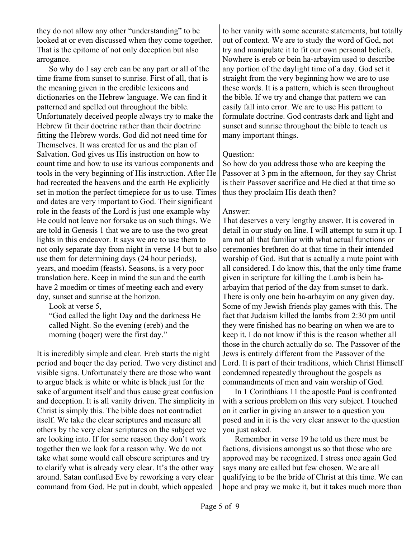they do not allow any other "understanding" to be looked at or even discussed when they come together. That is the epitome of not only deception but also arrogance.

So why do I say ereb can be any part or all of the time frame from sunset to sunrise. First of all, that is the meaning given in the credible lexicons and dictionaries on the Hebrew language. We can find it patterned and spelled out throughout the bible. Unfortunately deceived people always try to make the Hebrew fit their doctrine rather than their doctrine fitting the Hebrew words. God did not need time for Themselves. It was created for us and the plan of Salvation. God gives us His instruction on how to count time and how to use its various components and tools in the very beginning of His instruction. After He had recreated the heavens and the earth He explicitly set in motion the perfect timepiece for us to use. Times and dates are very important to God. Their significant role in the feasts of the Lord is just one example why He could not leave nor forsake us on such things. We are told in Genesis 1 that we are to use the two great lights in this endeavor. It says we are to use them to not only separate day from night in verse 14 but to also use them for determining days (24 hour periods), years, and moedim (feasts). Seasons, is a very poor translation here. Keep in mind the sun and the earth have 2 moedim or times of meeting each and every day, sunset and sunrise at the horizon.

Look at verse 5,

"God called the light Day and the darkness He called Night. So the evening (ereb) and the morning (boqer) were the first day."

It is incredibly simple and clear. Ereb starts the night period and boqer the day period. Two very distinct and visible signs. Unfortunately there are those who want to argue black is white or white is black just for the sake of argument itself and thus cause great confusion and deception. It is all vanity driven. The simplicity in Christ is simply this. The bible does not contradict itself. We take the clear scriptures and measure all others by the very clear scriptures on the subject we are looking into. If for some reason they don't work together then we look for a reason why. We do not take what some would call obscure scriptures and try to clarify what is already very clear. It's the other way around. Satan confused Eve by reworking a very clear command from God. He put in doubt, which appealed

to her vanity with some accurate statements, but totally out of context. We are to study the word of God, not try and manipulate it to fit our own personal beliefs. Nowhere is ereb or bein ha-arbayim used to describe any portion of the daylight time of a day. God set it straight from the very beginning how we are to use these words. It is a pattern, which is seen throughout the bible. If we try and change that pattern we can easily fall into error. We are to use His pattern to formulate doctrine. God contrasts dark and light and sunset and sunrise throughout the bible to teach us many important things.

## Question:

So how do you address those who are keeping the Passover at 3 pm in the afternoon, for they say Christ is their Passover sacrifice and He died at that time so thus they proclaim His death then?

#### Answer:

That deserves a very lengthy answer. It is covered in detail in our study on line. I will attempt to sum it up. I am not all that familiar with what actual functions or ceremonies brethren do at that time in their intended worship of God. But that is actually a mute point with all considered. I do know this, that the only time frame given in scripture for killing the Lamb is bein haarbayim that period of the day from sunset to dark. There is only one bein ha-arbayim on any given day. Some of my Jewish friends play games with this. The fact that Judaism killed the lambs from 2:30 pm until they were finished has no bearing on when we are to keep it. I do not know if this is the reason whether all those in the church actually do so. The Passover of the Jews is entirely different from the Passover of the Lord. It is part of their traditions, which Christ Himself condemned repeatedly throughout the gospels as commandments of men and vain worship of God.

In 1 Corinthians 11 the apostle Paul is confronted with a serious problem on this very subject. I touched on it earlier in giving an answer to a question you posed and in it is the very clear answer to the question you just asked.

Remember in verse 19 he told us there must be factions, divisions amongst us so that those who are approved may be recognized. I stress once again God says many are called but few chosen. We are all qualifying to be the bride of Christ at this time. We can hope and pray we make it, but it takes much more than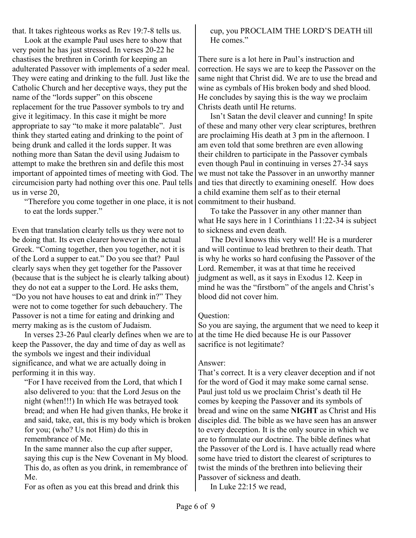that. It takes righteous works as Rev 19:7-8 tells us.

Look at the example Paul uses here to show that very point he has just stressed. In verses 20-22 he chastises the brethren in Corinth for keeping an adulterated Passover with implements of a seder meal. They were eating and drinking to the full. Just like the Catholic Church and her deceptive ways, they put the name of the "lords supper" on this obscene replacement for the true Passover symbols to try and give it legitimacy. In this case it might be more appropriate to say "to make it more palatable". Just think they started eating and drinking to the point of being drunk and called it the lords supper. It was nothing more than Satan the devil using Judaism to attempt to make the brethren sin and defile this most important of appointed times of meeting with God. The circumcision party had nothing over this one. Paul tells us in verse 20,

"Therefore you come together in one place, it is not to eat the lords supper."

Even that translation clearly tells us they were not to be doing that. Its even clearer however in the actual Greek. "Coming together, then you together, not it is of the Lord a supper to eat." Do you see that? Paul clearly says when they get together for the Passover (because that is the subject he is clearly talking about) they do not eat a supper to the Lord. He asks them, "Do you not have houses to eat and drink in?" They were not to come together for such debauchery. The Passover is not a time for eating and drinking and merry making as is the custom of Judaism.

In verses 23-26 Paul clearly defines when we are to keep the Passover, the day and time of day as well as the symbols we ingest and their individual significance, and what we are actually doing in performing it in this way.

"For I have received from the Lord, that which I also delivered to you: that the Lord Jesus on the night (when!!!) In which He was betrayed took bread; and when He had given thanks, He broke it and said, take, eat, this is my body which is broken for you; (who? Us not Him) do this in remembrance of Me.

In the same manner also the cup after supper, saying this cup is the New Covenant in My blood. This do, as often as you drink, in remembrance of Me.

For as often as you eat this bread and drink this

#### cup, you PROCLAIM THE LORD'S DEATH till He comes."

There sure is a lot here in Paul's instruction and correction. He says we are to keep the Passover on the same night that Christ did. We are to use the bread and wine as cymbals of His broken body and shed blood. He concludes by saying this is the way we proclaim Christs death until He returns.

Isn't Satan the devil cleaver and cunning! In spite of these and many other very clear scriptures, brethren are proclaiming His death at 3 pm in the afternoon. I am even told that some brethren are even allowing their children to participate in the Passover cymbals even though Paul in continuing in verses 27-34 says we must not take the Passover in an unworthy manner and ties that directly to examining oneself. How does a child examine them self as to their eternal commitment to their husband.

To take the Passover in any other manner than what He says here in 1 Corinthians 11:22-34 is subject to sickness and even death.

The Devil knows this very well! He is a murderer and will continue to lead brethren to their death. That is why he works so hard confusing the Passover of the Lord. Remember, it was at that time he received judgment as well, as it says in Exodus 12. Keep in mind he was the "firstborn" of the angels and Christ's blood did not cover him.

#### Question:

So you are saying, the argument that we need to keep it at the time He died because He is our Passover sacrifice is not legitimate?

#### Answer:

That's correct. It is a very cleaver deception and if not for the word of God it may make some carnal sense. Paul just told us we proclaim Christ's death til He comes by keeping the Passover and its symbols of bread and wine on the same **NIGHT** as Christ and His disciples did. The bible as we have seen has an answer to every deception. It is the only source in which we are to formulate our doctrine. The bible defines what the Passover of the Lord is. I have actually read where some have tried to distort the clearest of scriptures to twist the minds of the brethren into believing their Passover of sickness and death.

In Luke 22:15 we read,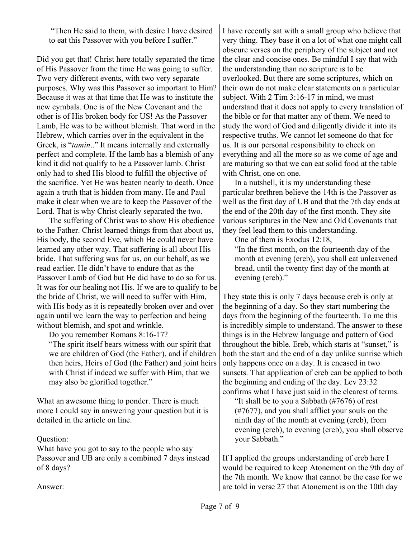"Then He said to them, with desire I have desired to eat this Passover with you before I suffer."

Did you get that! Christ here totally separated the time of His Passover from the time He was going to suffer. Two very different events, with two very separate purposes. Why was this Passover so important to Him? Because it was at that time that He was to institute the new cymbals. One is of the New Covenant and the other is of His broken body for US! As the Passover Lamb, He was to be without blemish. That word in the Hebrew, which carries over in the equivalent in the Greek, is "*tamin*.." It means internally and externally perfect and complete. If the lamb has a blemish of any kind it did not qualify to be a Passover lamb. Christ only had to shed His blood to fulfill the objective of the sacrifice. Yet He was beaten nearly to death. Once again a truth that is hidden from many. He and Paul make it clear when we are to keep the Passover of the Lord. That is why Christ clearly separated the two.

The suffering of Christ was to show His obedience to the Father. Christ learned things from that about us, His body, the second Eve, which He could never have learned any other way. That suffering is all about His bride. That suffering was for us, on our behalf, as we read earlier. He didn't have to endure that as the Passover Lamb of God but He did have to do so for us. It was for our healing not His. If we are to qualify to be the bride of Christ, we will need to suffer with Him, with His body as it is repeatedly broken over and over again until we learn the way to perfection and being without blemish, and spot and wrinkle.

Do you remember Romans 8:16-17?

"The spirit itself bears witness with our spirit that we are children of God (the Father), and if children then heirs, Heirs of God (the Father) and joint heirs with Christ if indeed we suffer with Him, that we may also be glorified together."

What an awesome thing to ponder. There is much more I could say in answering your question but it is detailed in the article on line.

#### Question:

What have you got to say to the people who say Passover and UB are only a combined 7 days instead of 8 days?

I have recently sat with a small group who believe that very thing. They base it on a lot of what one might call obscure verses on the periphery of the subject and not the clear and concise ones. Be mindful I say that with the understanding than no scripture is to be overlooked. But there are some scriptures, which on their own do not make clear statements on a particular subject. With 2 Tim 3:16-17 in mind, we must understand that it does not apply to every translation of the bible or for that matter any of them. We need to study the word of God and diligently divide it into its respective truths. We cannot let someone do that for us. It is our personal responsibility to check on everything and all the more so as we come of age and are maturing so that we can eat solid food at the table with Christ, one on one.

In a nutshell, it is my understanding these particular brethren believe the 14th is the Passover as well as the first day of UB and that the 7th day ends at the end of the 20th day of the first month. They site various scriptures in the New and Old Covenants that they feel lead them to this understanding.

One of them is Exodus 12:18,

"In the first month, on the fourteenth day of the month at evening (ereb), you shall eat unleavened bread, until the twenty first day of the month at evening (ereb)."

They state this is only 7 days because ereb is only at the beginning of a day. So they start numbering the days from the beginning of the fourteenth. To me this is incredibly simple to understand. The answer to these things is in the Hebrew language and pattern of God throughout the bible. Ereb, which starts at "sunset," is both the start and the end of a day unlike sunrise which only happens once on a day. It is encased in two sunsets. That application of ereb can be applied to both the beginning and ending of the day. Lev 23:32 confirms what I have just said in the clearest of terms.

"It shall be to you a Sabbath (#7676) of rest (#7677), and you shall afflict your souls on the ninth day of the month at evening (ereb), from evening (ereb), to evening (ereb), you shall observe your Sabbath."

If I applied the groups understanding of ereb here I would be required to keep Atonement on the 9th day of the 7th month. We know that cannot be the case for we are told in verse 27 that Atonement is on the 10th day

Answer: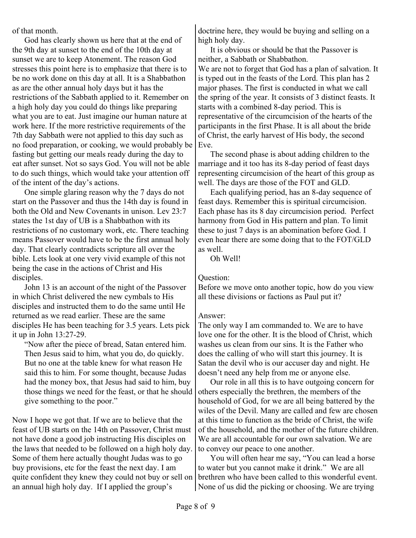of that month.

God has clearly shown us here that at the end of the 9th day at sunset to the end of the 10th day at sunset we are to keep Atonement. The reason God stresses this point here is to emphasize that there is to be no work done on this day at all. It is a Shabbathon as are the other annual holy days but it has the restrictions of the Sabbath applied to it. Remember on a high holy day you could do things like preparing what you are to eat. Just imagine our human nature at work here. If the more restrictive requirements of the 7th day Sabbath were not applied to this day such as no food preparation, or cooking, we would probably be fasting but getting our meals ready during the day to eat after sunset. Not so says God. You will not be able to do such things, which would take your attention off of the intent of the day's actions.

One simple glaring reason why the 7 days do not start on the Passover and thus the 14th day is found in both the Old and New Covenants in unison. Lev 23:7 states the 1st day of UB is a Shabbathon with its restrictions of no customary work, etc. There teaching means Passover would have to be the first annual holy day. That clearly contradicts scripture all over the bible. Lets look at one very vivid example of this not being the case in the actions of Christ and His disciples.

John 13 is an account of the night of the Passover in which Christ delivered the new cymbals to His disciples and instructed them to do the same until He returned as we read earlier. These are the same disciples He has been teaching for 3.5 years. Lets pick it up in John 13:27-29.

"Now after the piece of bread, Satan entered him. Then Jesus said to him, what you do, do quickly. But no one at the table knew for what reason He said this to him. For some thought, because Judas had the money box, that Jesus had said to him, buy those things we need for the feast, or that he should give something to the poor."

Now I hope we got that. If we are to believe that the feast of UB starts on the 14th on Passover, Christ must not have done a good job instructing His disciples on the laws that needed to be followed on a high holy day. Some of them here actually thought Judas was to go buy provisions, etc for the feast the next day. I am quite confident they knew they could not buy or sell on an annual high holy day. If I applied the group's

doctrine here, they would be buying and selling on a high holy day.

It is obvious or should be that the Passover is neither, a Sabbath or Shabbathon. We are not to forget that God has a plan of salvation. It is typed out in the feasts of the Lord. This plan has 2 major phases. The first is conducted in what we call the spring of the year. It consists of 3 distinct feasts. It starts with a combined 8-day period. This is representative of the circumcision of the hearts of the participants in the first Phase. It is all about the bride of Christ, the early harvest of His body, the second Eve.

The second phase is about adding children to the marriage and it too has its 8-day period of feast days representing circumcision of the heart of this group as well. The days are those of the FOT and GLD.

Each qualifying period, has an 8-day sequence of feast days. Remember this is spiritual circumcision. Each phase has its 8 day circumcision period. Perfect harmony from God in His pattern and plan. To limit these to just 7 days is an abomination before God. I even hear there are some doing that to the FOT/GLD as well.

Oh Well!

## Question:

Before we move onto another topic, how do you view all these divisions or factions as Paul put it?

## Answer:

The only way I am commanded to. We are to have love one for the other. It is the blood of Christ, which washes us clean from our sins. It is the Father who does the calling of who will start this journey. It is Satan the devil who is our accuser day and night. He doesn't need any help from me or anyone else.

Our role in all this is to have outgoing concern for others especially the brethren, the members of the household of God, for we are all being battered by the wiles of the Devil. Many are called and few are chosen at this time to function as the bride of Christ, the wife of the household, and the mother of the future children. We are all accountable for our own salvation. We are to convey our peace to one another.

You will often hear me say, "You can lead a horse to water but you cannot make it drink." We are all brethren who have been called to this wonderful event. None of us did the picking or choosing. We are trying